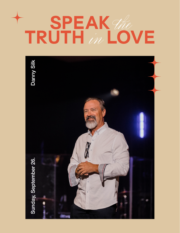# TRUTH MAY DE

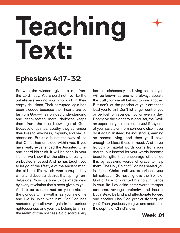## **Teaching Text:**

### **Ephesians 4:17-32**

So with the wisdom given to me from the Lord I say: You should not live like the unbelievers around you who walk in their empty delusions. Their corrupted logic has been clouded because their hearts are so far from God—their blinded understanding and deep-seated moral darkness keeps them from the true knowledge of God. Because of spiritual apathy, they surrender their lives to lewdness, impurity, and sexual obsession. But this is not the way of life that Christ has unfolded within you. If you have really experienced the Anointed One, and heard his truth, it will be seen in your life; for we know that the ultimate reality is embodied in Jesus! And he has taught you to let go of the lifestyle of the ancient man, the old self-life, which was corrupted by sinful and deceitful desires that spring from delusions. Now it's time to be made new by every revelation that's been given to you. And to be transformed as you embrace the glorious Christ-within as your new life and live in union with him! For God has recreated you all over again in his perfect righteousness, and you now belong to him in the realm of true holiness. So discard every

form of dishonesty and lying so that you will be known as one who always speaks the truth, for we all belong to one another. But don't let the passion of your emotions lead you to sin! Don't let anger control you or be fuel for revenge, not for even a day. Don't give the slanderous accuser, the Devil, an opportunity to manipulate you! If any one of you has stolen from someone else, never do it again. Instead, be industrious, earning an honest living, and then you'll have enough to bless those in need. And never let ugly or hateful words come from your mouth, but instead let your words become beautiful gifts that encourage others; do this by speaking words of grace to help them. The Holy Spirit of God has sealed you in Jesus Christ until you experience your full salvation. So never grieve the Spirit of God or take for granted his holy influence in your life. Lay aside bitter words, temper tantrums, revenge, profanity, and insults. But instead be kind and affectionate toward one another. Has God graciously forgiven you? Then graciously forgive one another in the depths of Christ's love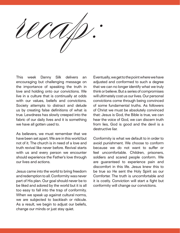This week Danny Silk delivers an encouraging but challenging message on the importance of speaking the truth in love and holding onto our convictions. We live in a culture that is continually at odds with our values, beliefs and convictions. Society attempts to distract and delude us by creating false definitions of what is true. Lewdness has slowly creeped into the fabric of our daily lives and it is something we have all gotten used to.

As believers, we must remember that we have been set apart. We are in this world but not of it. The church is in need of a love and truth revival like never before. Revival starts with us and every person we encounter should experience the Father's love through our lives and actions.

Jesus came into the world to bring freedom and redemption to all. Conformity was never part of His plan. Our goal should never be to be liked and adored by the world but it is all too easy to fall into the trap of conformity. When we speak up against cultural norms, we are subjected to backlash or ridicule. As a result, we begin to adjust our beliefs, change our minds or just stay quiet.

Eventually, we get to the point where we have adjusted and conformed to such a degree that we can no longer identify what we truly think or believe. But a series of compromises will ultimately cost us our lives. Our personal convictions come through being convinced of some fundamental truths. As followers of Christ we must be absolutely convinced that: Jesus is God, the Bible is true, we can hear the voice of God, we can discern truth from lies, God is good and the devil is a destructive liar.

Conformity is what we default to in order to avoid punishment. We choose to conform because we do not want to suffer or feel uncomfortable. Children, prisoners, soldiers and scared people conform. We are guaranteed to experience pain and discomfort in this life. Jesus knew this to be true so He sent the Holy Spirit as our Comforter. The truth is uncomfortable and it is costly. Conviction will start a fight but conformity will change our convictions.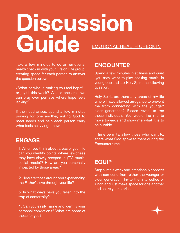### **Discussion** GUICE EMOTIONAL HEALTH CHECK IN

Take a few minutes to do an emotional health check in with your Life on LIfe group, creating space for each person to answer the question below:

• What or who is making you feel hopeful or joyful this week? What's one area we can pray over, perhaps where hope feels lacking?

If the need arises, spend a few minutes praying for one another, asking God to meet needs and help each person carry what feels heavy right now.

#### **ENGAGE**

1. When you think about areas of your life can you identify points where lewdness may have slowly creeped in (TV, music, social media)? How are you personally impacted by those areas?

2. How are those around you experiencing the Father's love through your life?

3. In what ways have you fallen into the trap of conformity?

4. Can you easily name and identify your personal convictions? What are some of those for you?

### **ENCOUNTER**

Spend a few minutes in stillness and quiet (you may want to play soaking music) in your group and ask Holy Spirit the following question:

Holy Spirit, are there any areas of my life where I have allowed arrogance to prevent me from connecting with the younger/ older generation? Please reveal to me those individuals You would like me to move towards and show me what it is to be humble.

If time permits, allow those who want to, share what God spoke to them during the Encounter time.

### **EQUIP**

Step out this week and intentionally connect with someone from either the younger or older generation. Invite them to coffee or lunch and just make space for one another and share your stories.